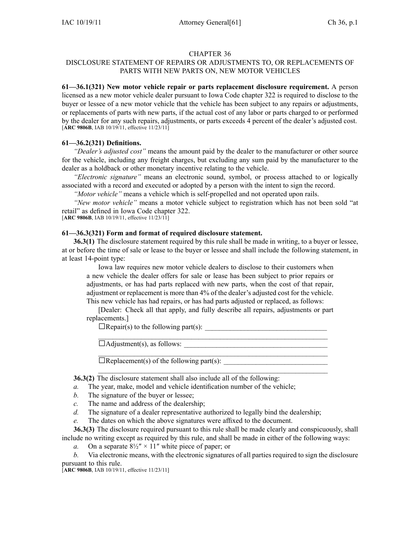#### CHAPTER 36

## DISCLOSURE STATEMENT OF REPAIRS OR ADJUSTMENTS TO, OR REPLACEMENTS OF PARTS WITH NEW PARTS ON, NEW MOTOR VEHICLES

**61—36.1(321) New motor vehicle repair or parts replacement disclosure requirement.** A person licensed as <sup>a</sup> new motor vehicle dealer pursuan<sup>t</sup> to Iowa Code chapter 322 is required to disclose to the buyer or lessee of <sup>a</sup> new motor vehicle that the vehicle has been subject to any repairs or adjustments, or replacements of parts with new parts, if the actual cost of any labor or parts charged to or performed by the dealer for any such repairs, adjustments, or parts exceeds 4 percen<sup>t</sup> of the dealer's adjusted cost. [**ARC 9806B**, IAB 10/19/11, effective 11/23/11]

### **61—36.2(321) Definitions.**

*"Dealer's adjusted cost"* means the amount paid by the dealer to the manufacturer or other source for the vehicle, including any freight charges, but excluding any sum paid by the manufacturer to the dealer as <sup>a</sup> holdback or other monetary incentive relating to the vehicle.

*"Electronic signature"* means an electronic sound, symbol, or process attached to or logically associated with <sup>a</sup> record and executed or adopted by <sup>a</sup> person with the intent to sign the record.

*"Motor vehicle"* means <sup>a</sup> vehicle which is self-propelled and not operated upon rails.

*"New motor vehicle"* means <sup>a</sup> motor vehicle subject to registration which has not been sold "at retail" as defined in Iowa Code chapter 322. [**ARC 9806B**, IAB 10/19/11, effective 11/23/11]

# **61—36.3(321) Form and format of required disclosure statement.**

**36.3(1)** The disclosure statement required by this rule shall be made in writing, to <sup>a</sup> buyer or lessee, at or before the time of sale or lease to the buyer or lessee and shall include the following statement, in at least 14-point type:

Iowa law requires new motor vehicle dealers to disclose to their customers when <sup>a</sup> new vehicle the dealer offers for sale or lease has been subject to prior repairs or adjustments, or has had parts replaced with new parts, when the cost of that repair, adjustment or replacement is more than 4% of the dealer's adjusted cost for the vehicle. This new vehicle has had repairs, or has had parts adjusted or replaced, as follows:

[Dealer: Check all that apply, and fully describe all repairs, adjustments or par<sup>t</sup> replacements.]

\_\_\_\_\_\_\_\_\_\_\_\_\_\_\_\_\_\_\_\_\_\_\_\_\_\_\_\_\_\_\_\_\_\_\_\_\_\_\_\_\_\_\_\_\_\_\_\_\_\_\_\_\_\_\_\_\_\_\_\_\_\_\_\_

 $\_$ 

 $\Box$ Repair(s) to the following part(s):

□Adjustment(s), as follows: \_\_\_\_\_\_\_\_\_\_\_\_\_\_\_\_\_\_\_\_\_\_\_\_\_\_\_\_\_\_\_\_\_\_\_\_\_\_\_\_

 $\Box$ Replacement(s) of the following part(s):  $\Box$ 

**36.3(2)** The disclosure statement shall also include all of the following:

- *a.* The year, make, model and vehicle identification number of the vehicle;
- *b.* The signature of the buyer or lessee;
- *c.* The name and address of the dealership;
- *d.* The signature of <sup>a</sup> dealer representative authorized to legally bind the dealership;
- *e.* The dates on which the above signatures were affixed to the document.

**36.3(3)** The disclosure required pursuan<sup>t</sup> to this rule shall be made clearly and conspicuously, shall include no writing excep<sup>t</sup> as required by this rule, and shall be made in either of the following ways:

*a.* On a separate  $8\frac{1}{2}$   $\times$  11" white piece of paper; or

## *b.* Via electronic means, with the electronic signatures of all parties required to sign the disclosure

pursuan<sup>t</sup> to this rule.

[**ARC 9806B**, IAB 10/19/11, effective 11/23/11]